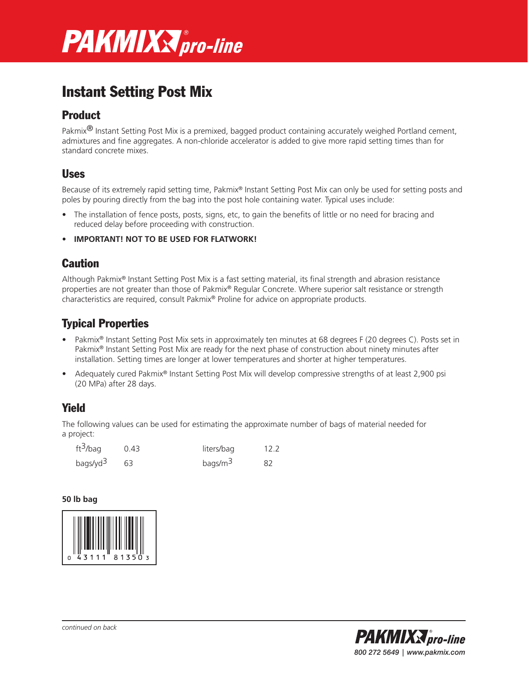

# Instant Setting Post Mix

## Product

Pakmix<sup>®</sup> Instant Setting Post Mix is a premixed, bagged product containing accurately weighed Portland cement, admixtures and fine aggregates. A non-chloride accelerator is added to give more rapid setting times than for standard concrete mixes.

## Uses

Because of its extremely rapid setting time, Pakmix® Instant Setting Post Mix can only be used for setting posts and poles by pouring directly from the bag into the post hole containing water. Typical uses include:

- The installation of fence posts, posts, signs, etc, to gain the benefits of little or no need for bracing and reduced delay before proceeding with construction.
- **IMPORTANT! NOT TO BE USED FOR FLATWORK!**

## **Caution**

Although Pakmix® Instant Setting Post Mix is a fast setting material, its final strength and abrasion resistance properties are not greater than those of Pakmix® Regular Concrete. Where superior salt resistance or strength characteristics are required, consult Pakmix® Proline for advice on appropriate products.

## Typical Properties

- Pakmix<sup>®</sup> Instant Setting Post Mix sets in approximately ten minutes at 68 degrees F (20 degrees C). Posts set in Pakmix® Instant Setting Post Mix are ready for the next phase of construction about ninety minutes after installation. Setting times are longer at lower temperatures and shorter at higher temperatures.
- Adequately cured Pakmix® Instant Setting Post Mix will develop compressive strengths of at least 2,900 psi (20 MPa) after 28 days.

## Yield

The following values can be used for estimating the approximate number of bags of material needed for a project:

| ft <sup>3</sup> /bag | 0.43 | liters/bag  | 12.2 |
|----------------------|------|-------------|------|
| bags/yd <sup>3</sup> |      | bags/ $m^3$ | 82   |

### **50 lb bag**





*continued on back*